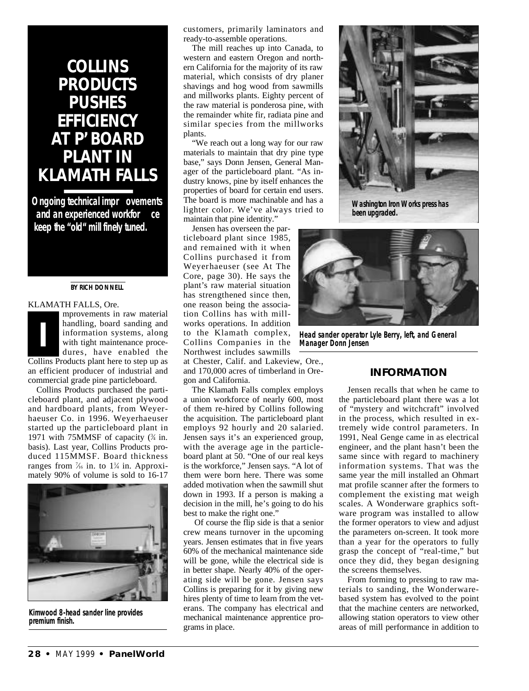## **COLLINS PRODUCTS PUSHES EFFICIENCY AT P'BOARD PLANT IN KLAMATH FALLS**

**Ongoing technical impr** ovements and an experienced workfor ce **keep the "old" mill finely tuned.**

#### **BY RICH DONNELL**

### KLAMATH FALLS, Ore.

mprovements in raw material handling, board sanding and information systems, along with tight maintenance procedures, have enabled the Collins Products plant here to step up as an efficient producer of industrial and commercial grade pine particleboard. **I**

Collins Products purchased the particleboard plant, and adjacent plywood and hardboard plants, from Weyerhaeuser Co. in 1996. Weyerhaeuser started up the particleboard plant in 1971 with 75MMSF of capacity  $(\frac{3}{4})$  in. basis). Last year, Collins Products produced 115MMSF. Board thickness ranges from  $\frac{7}{6}$  in. to  $1\frac{1}{4}$  in. Approximately 90% of volume is sold to 16-17



**Kimwood 8-head sander line provides premium finish.**

customers, primarily laminators and ready-to-assemble operations.

The mill reaches up into Canada, to western and eastern Oregon and northern California for the majority of its raw material, which consists of dry planer shavings and hog wood from sawmills and millworks plants. Eighty percent of the raw material is ponderosa pine, with the remainder white fir, radiata pine and similar species from the millworks plants.

"We reach out a long way for our raw materials to maintain that dry pine type base," says Donn Jensen, General Manager of the particleboard plant. "As industry knows, pine by itself enhances the properties of board for certain end users. The board is more machinable and has a lighter color. We've always tried to maintain that pine identity."

Jensen has overseen the particleboard plant since 1985, and remained with it when Collins purchased it from Weyerhaeuser (see At The Core, page 30). He says the plant's raw material situation has strengthened since then, one reason being the association Collins has with millworks operations. In addition to the Klamath complex, Collins Companies in the Northwest includes sawmills

at Chester, Calif. and Lakeview, Ore., and 170,000 acres of timberland in Oregon and California.

The Klamath Falls complex employs a union workforce of nearly 600, most of them re-hired by Collins following the acquisition. The particleboard plant employs 92 hourly and 20 salaried. Jensen says it's an experienced group, with the average age in the particleboard plant at 50. "One of our real keys is the workforce," Jensen says. "A lot of them were born here. There was some added motivation when the sawmill shut down in 1993. If a person is making a decision in the mill, he's going to do his best to make the right one."

Of course the flip side is that a senior crew means turnover in the upcoming years. Jensen estimates that in five years 60% of the mechanical maintenance side will be gone, while the electrical side is in better shape. Nearly 40% of the operating side will be gone. Jensen says Collins is preparing for it by giving new hires plenty of time to learn from the veterans. The company has electrical and mechanical maintenance apprentice programs in place.



**Washington Iron Works press has been upgraded.**



**Head sander operator Lyle Berry, left, and General Manager Donn Jensen**

## **INFORMATION**

Jensen recalls that when he came to the particleboard plant there was a lot of "mystery and witchcraft" involved in the process, which resulted in extremely wide control parameters. In 1991, Neal Genge came in as electrical engineer, and the plant hasn't been the same since with regard to machinery information systems. That was the same year the mill installed an Ohmart mat profile scanner after the formers to complement the existing mat weigh scales. A Wonderware graphics software program was installed to allow the former operators to view and adjust the parameters on-screen. It took more than a year for the operators to fully grasp the concept of "real-time," but once they did, they began designing the screens themselves.

From forming to pressing to raw materials to sanding, the Wonderwarebased system has evolved to the point that the machine centers are networked, allowing station operators to view other areas of mill performance in addition to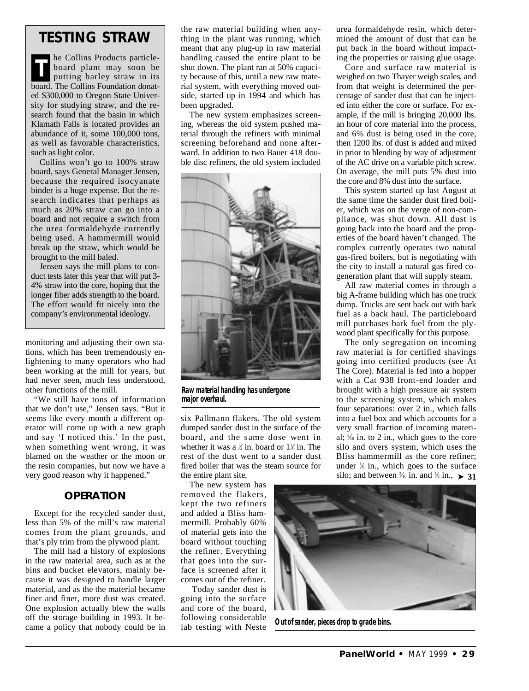## **TESTING STRAW**

he Collins Products particleboard plant may soon be putting barley straw in its board. The Collins Foundation donated \$300,000 to Oregon State University for studying straw, and the research found that the basin in which Klamath Falls is located provides an abundance of it, some 100,000 tons, as well as favorable characteristics, such as light color. **T**

Collins won't go to 100% straw board, says General Manager Jensen, because the required isocyanate binder is a huge expense. But the research indicates that perhaps as much as 20% straw can go into a board and not require a switch from the urea formaldehyde currently being used. A hammermill would break up the straw, which would be brought to the mill baled.

Jensen says the mill plans to conduct tests later this year that will put 3- 4% straw into the core, hoping that the longer fiber adds strength to the board. The effort would fit nicely into the company's environmental ideology.

monitoring and adjusting their own stations, which has been tremendously enlightening to many operators who had been working at the mill for years, but had never seen, much less understood, other functions of the mill.

"We still have tons of information that we don't use," Jensen says. "But it seems like every month a different operator will come up with a new graph and say 'I noticed this.' In the past, when something went wrong, it was blamed on the weather or the moon or the resin companies, but now we have a very good reason why it happened."

## **OPERATION**

Except for the recycled sander dust, less than 5% of the mill's raw material comes from the plant grounds, and that's ply trim from the plywood plant.

The mill had a history of explosions in the raw material area, such as at the bins and bucket elevators, mainly because it was designed to handle larger material, and as the the material became finer and finer, more dust was created. One explosion actually blew the walls off the storage building in 1993. It became a policy that nobody could be in

the raw material building when anything in the plant was running, which meant that any plug-up in raw material handling caused the entire plant to be shut down. The plant ran at 50% capacity because of this, until a new raw material system, with everything moved outside, started up in 1994 and which has been upgraded.

The new system emphasizes screening, whereas the old system pushed material through the refiners with minimal screening beforehand and none afterward. In addition to two Bauer 418 double disc refiners, the old system included



**Raw material handling has undergone major overhaul.**

six Pallmann flakers. The old system dumped sander dust in the surface of the board, and the same dose went in whether it was a  $\frac{1}{2}$  in. board or  $1\frac{1}{2}$  in. The rest of the dust went to a sander dust fired boiler that was the steam source for the entire plant site.

The new system has removed the flakers, kept the two refiners and added a Bliss hammermill. Probably 60% of material gets into the board without touching the refiner. Everything that goes into the surface is screened after it comes out of the refiner.

Today sander dust is going into the surface and core of the board, following considerable lab testing with Neste

urea formaldehyde resin, which determined the amount of dust that can be put back in the board without impacting the properties or raising glue usage.

Core and surface raw material is weighed on two Thayer weigh scales, and from that weight is determined the percentage of sander dust that can be injected into either the core or surface. For example, if the mill is bringing 20,000 lbs. an hour of core material into the process, and 6% dust is being used in the core, then 1200 lbs. of dust is added and mixed in prior to blending by way of adjustment of the AC drive on a variable pitch screw. On average, the mill puts 5% dust into the core and 8% dust into the surface.

This system started up last August at the same time the sander dust fired boiler, which was on the verge of non-compliance, was shut down. All dust is going back into the board and the properties of the board haven't changed. The complex currently operates two natural gas-fired boilers, but is negotiating with the city to install a natural gas fired cogeneration plant that will supply steam.

All raw material comes in through a big A-frame building which has one truck dump. Trucks are sent back out with bark fuel as a back haul. The particleboard mill purchases bark fuel from the plywood plant specifically for this purpose.

The only segregation on incoming raw material is for certified shavings going into certified products (see At The Core). Material is fed into a hopper with a Cat 938 front-end loader and brought with a high pressure air system to the screening system, which makes four separations: over 2 in., which falls into a fuel box and which accounts for a very small fraction of incoming material; <sup>3</sup> ⁄<sup>16</sup> in. to 2 in., which goes to the core silo and overs system, which uses the Bliss hammermill as the core refiner; under  $\frac{1}{8}$  in., which goes to the surface silo; and between  $\frac{3}{6}$  in. and  $\frac{1}{8}$  in.,  $\geq 31$ 



**Out of sander, pieces drop to grade bins.**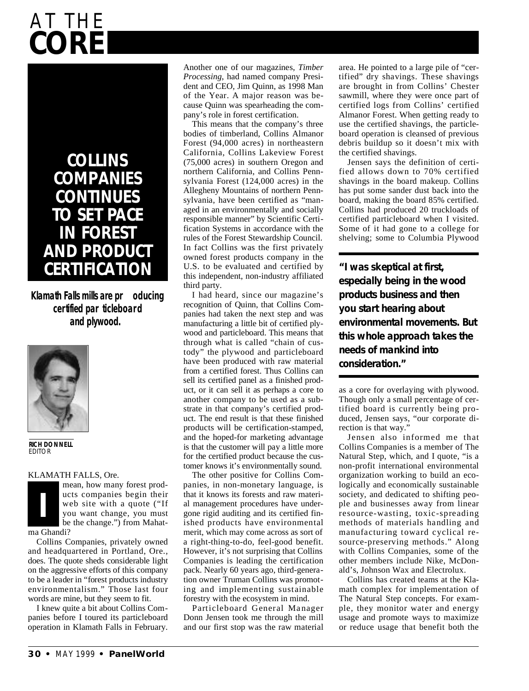# **C O R E AT THE**

# **C O L L I N S COMPANIES C O N T I N U E S TO SET PACE IN FOREST AND PRODUCT CERTIFICATION**

**Klamath Falls mills are pr oducing** certified par ticleboard **and plywood.**



**RICH DONNELL EDITOR** 

#### KLAMATH FALLS, Ore.



Collins Companies, privately owned and headquartered in Portland, Ore., does. The quote sheds considerable light on the aggressive efforts of this company to be a leader in "forest products industry environmentalism." Those last four words are mine, but they seem to fit.

I knew quite a bit about Collins Companies before I toured its particleboard operation in Klamath Falls in February. Another one of our magazines, *Timber Processing*, had named company President and CEO, Jim Quinn, as 1998 Man of the Year. A major reason was because Quinn was spearheading the company's role in forest certification.

This means that the company's three bodies of timberland, Collins Almanor Forest (94,000 acres) in northeastern California, Collins Lakeview Forest (75,000 acres) in southern Oregon and northern California, and Collins Pennsylvania Forest (124,000 acres) in the Allegheny Mountains of northern Pennsylvania, have been certified as "managed in an environmentally and socially responsible manner" by Scientific Certification Systems in accordance with the rules of the Forest Stewardship Council. In fact Collins was the first privately owned forest products company in the U.S. to be evaluated and certified by this independent, non-industry affiliated third party.

I had heard, since our magazine's recognition of Quinn, that Collins Companies had taken the next step and was manufacturing a little bit of certified plywood and particleboard. This means that through what is called "chain of custody" the plywood and particleboard have been produced with raw material from a certified forest. Thus Collins can sell its certified panel as a finished product, or it can sell it as perhaps a core to another company to be used as a substrate in that company's certified product. The end result is that these finished products will be certification-stamped, and the hoped-for marketing advantage is that the customer will pay a little more for the certified product because the customer knows it's environmentally sound.

The other positive for Collins Companies, in non-monetary language, is that it knows its forests and raw material management procedures have undergone rigid auditing and its certified finished products have environmental merit, which may come across as sort of a right-thing-to-do, feel-good benefit. However, it's not surprising that Collins Companies is leading the certification pack. Nearly 60 years ago, third-generation owner Truman Collins was promoting and implementing sustainable forestry with the ecosystem in mind.

Particleboard General Manager Donn Jensen took me through the mill and our first stop was the raw material area. He pointed to a large pile of "certified" dry shavings. These shavings are brought in from Collins' Chester sawmill, where they were once part of certified logs from Collins' certified Almanor Forest. When getting ready to use the certified shavings, the particleboard operation is cleansed of previous debris buildup so it doesn't mix with the certified shavings.

Jensen says the definition of certified allows down to 70% certified shavings in the board makeup. Collins has put some sander dust back into the board, making the board 85% certified. Collins had produced 20 truckloads of certified particleboard when I visited. Some of it had gone to a college for shelving; some to Columbia Plywood

**"I was skeptical at first, especially being in the wood p roducts business and then you start hearing about environmental movements. But this whole approach takes the needs of mankind into consideration."** 

as a core for overlaying with plywood. Though only a small percentage of certified board is currently being produced, Jensen says, "our corporate direction is that way."

Jensen also informed me that Collins Companies is a member of The Natural Step, which, and I quote, "is a non-profit international environmental organization working to build an ecologically and economically sustainable society, and dedicated to shifting people and businesses away from linear resource-wasting, toxic-spreading methods of materials handling and manufacturing toward cyclical resource-preserving methods." Along with Collins Companies, some of the other members include Nike, McDonald's, Johnson Wax and Electrolux.

Collins has created teams at the Klamath complex for implementation of The Natural Step concepts. For example, they monitor water and energy usage and promote ways to maximize or reduce usage that benefit both the